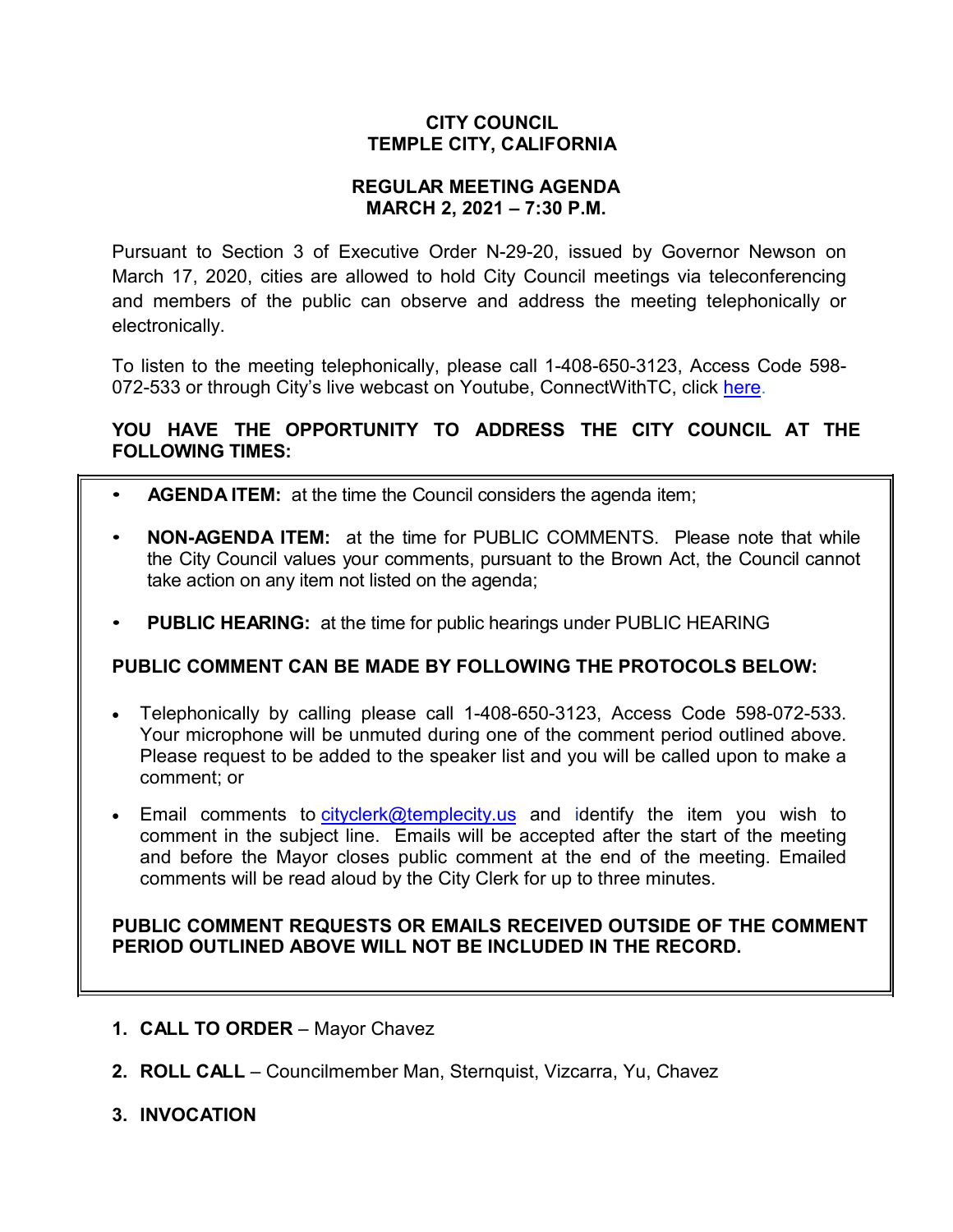# **CITY COUNCIL TEMPLE CITY, CALIFORNIA**

## **REGULAR MEETING AGENDA MARCH 2, 2021 – 7:30 P.M.**

Pursuant to Section 3 of Executive Order N-29-20, issued by Governor Newson on March 17, 2020, cities are allowed to hold City Council meetings via teleconferencing and members of the public can observe and address the meeting telephonically or electronically.

To listen to the meeting telephonically, please call 1-408-650-3123, Access Code 598 072-533 or through City's live webcast on Youtube, ConnectWithTC, click [here.](https://www.ci.temple-city.ca.us/516/Meeting-Webcast)

# **YOU HAVE THE OPPORTUNITY TO ADDRESS THE CITY COUNCIL AT THE FOLLOWING TIMES:**

- **AGENDA ITEM:** at the time the Council considers the agenda item;
- **NON-AGENDA ITEM:** at the time for PUBLIC COMMENTS. Please note that while the City Council values your comments, pursuant to the Brown Act, the Council cannot take action on any item not listed on the agenda;
- **PUBLIC HEARING:** at the time for public hearings under PUBLIC HEARING

# **PUBLIC COMMENT CAN BE MADE BY FOLLOWING THE PROTOCOLS BELOW:**

- Telephonically by calling please call 1-408-650-3123, Access Code 598-072-533. Your microphone will be unmuted during one of the comment period outlined above. Please request to be added to the speaker list and you will be called upon to make a comment; or
- Email comments to [cityclerk@templecity.us](mailto:cityclerk@templecity.us) and identify the item you wish to comment in the subject line. Emails will be accepted after the start of the meeting and before the Mayor closes public comment at the end of the meeting. Emailed comments will be read aloud by the City Clerk for up to three minutes.

### **PUBLIC COMMENT REQUESTS OR EMAILS RECEIVED OUTSIDE OF THE COMMENT PERIOD OUTLINED ABOVE WILL NOT BE INCLUDED IN THE RECORD.**

- **1. CALL TO ORDER**  Mayor Chavez
- **2. ROLL CALL**  Councilmember Man, Sternquist, Vizcarra, Yu, Chavez
- **3. INVOCATION**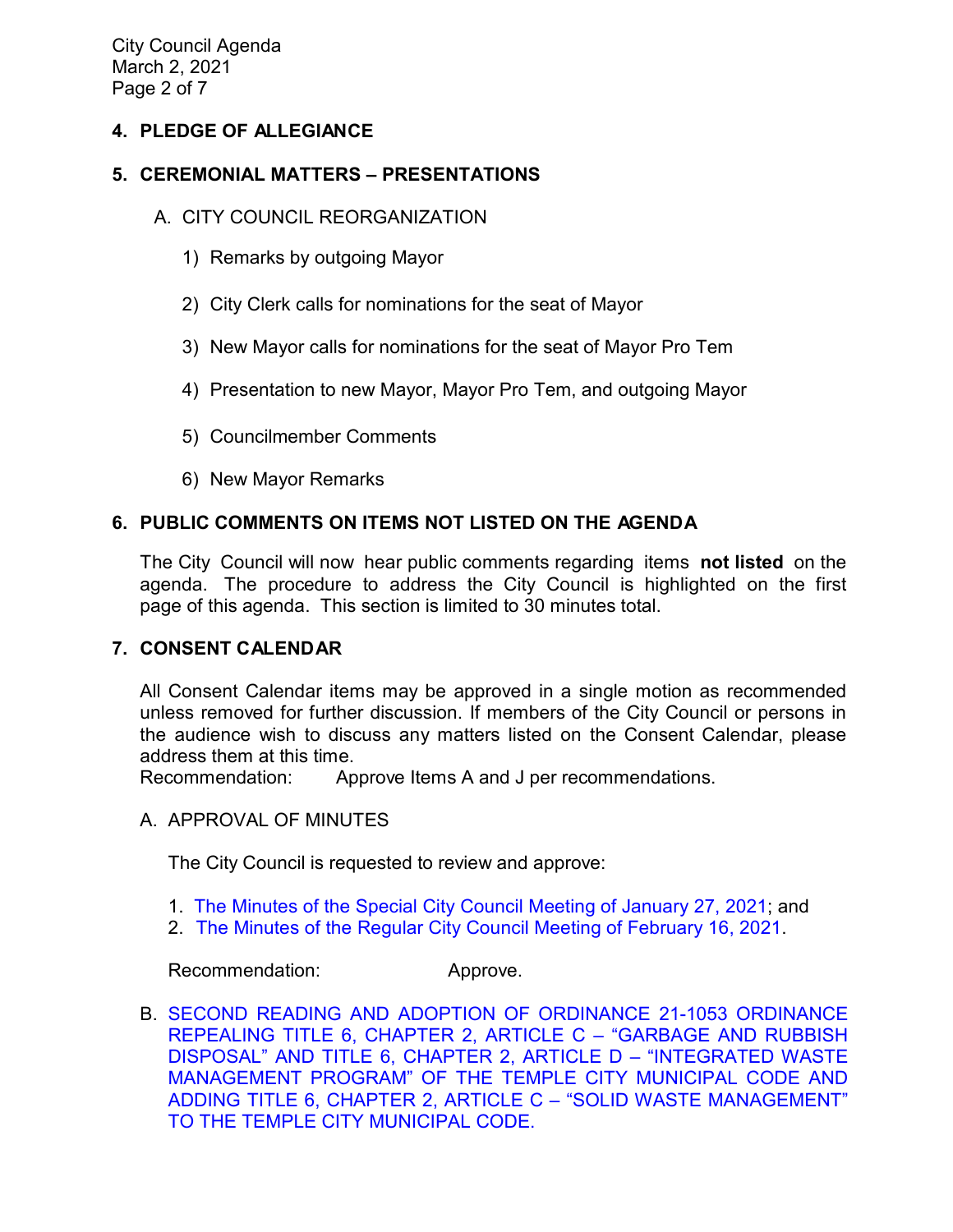City Council Agenda March 2, 2021 Page 2 of 7

# **4. PLEDGE OF ALLEGIANCE**

# **5. CEREMONIAL MATTERS – PRESENTATIONS**

### A. CITY COUNCIL REORGANIZATION

- 1) Remarks by outgoing Mayor
- 2) City Clerk calls for nominations for the seat of Mayor
- 3) New Mayor calls for nominations for the seat of Mayor Pro Tem
- 4) Presentation to new Mayor, Mayor Pro Tem, and outgoing Mayor
- 5) Councilmember Comments
- 6) New Mayor Remarks

# **6. PUBLIC COMMENTS ON ITEMS NOT LISTED ON THE AGENDA**

The City Council will now hear public comments regarding items **not listed** on the agenda. The procedure to address the City Council is highlighted on the first page of this agenda. This section is limited to 30 minutes total.

### **7. CONSENT CALENDAR**

All Consent Calendar items may be approved in a single motion as recommended unless removed for further discussion. If members of the City Council or persons in the audience wish to discuss any matters listed on the Consent Calendar, please address them at this time.

Recommendation: Approve Items A and J per recommendations.

#### A. APPROVAL OF MINUTES

The City Council is requested to review and approve:

- 1. The Minutes of the Special [City Council Meeting of January 27, 2021;](https://ca-templecity.civicplus.com/DocumentCenter/View/15842/02_7A1_CCM---2021-01-27-Sheriff-Monthly) and
- 2. [The Minutes of the Regular City Council Meeting of February 16, 2021.](https://ca-templecity.civicplus.com/DocumentCenter/View/15843/03_7A2_CCM---2021-02-16)

#### Recommendation: Approve.

B. [SECOND READING AND ADOPTION OF ORDINANCE 21-1053 ORDINANCE](https://ca-templecity.civicplus.com/DocumentCenter/View/15844/04_7B_Solid-Waste-Ordinance_Staff-Report_2nd-Reading-and-Adoption-of-Ordinance-21-1053_final-w-Attachment)  [REPEALING TITLE 6, CHAPTER 2, ARTICLE C –](https://ca-templecity.civicplus.com/DocumentCenter/View/15844/04_7B_Solid-Waste-Ordinance_Staff-Report_2nd-Reading-and-Adoption-of-Ordinance-21-1053_final-w-Attachment) "GARBAGE AND RUBBISH [DISPOSAL" AND TITLE 6, CHAPTER 2, ARTICLE D –](https://ca-templecity.civicplus.com/DocumentCenter/View/15844/04_7B_Solid-Waste-Ordinance_Staff-Report_2nd-Reading-and-Adoption-of-Ordinance-21-1053_final-w-Attachment) "INTEGRATED WASTE [MANAGEMENT PROGRAM" OF THE TEMPLE CITY MUNICIPAL CODE AND](https://ca-templecity.civicplus.com/DocumentCenter/View/15844/04_7B_Solid-Waste-Ordinance_Staff-Report_2nd-Reading-and-Adoption-of-Ordinance-21-1053_final-w-Attachment)  [ADDING TITLE 6, CHAPTER 2, ARTICLE C –](https://ca-templecity.civicplus.com/DocumentCenter/View/15844/04_7B_Solid-Waste-Ordinance_Staff-Report_2nd-Reading-and-Adoption-of-Ordinance-21-1053_final-w-Attachment) "SOLID WASTE MANAGEMENT" [TO THE TEMPLE CITY MUNICIPAL CODE.](https://ca-templecity.civicplus.com/DocumentCenter/View/15844/04_7B_Solid-Waste-Ordinance_Staff-Report_2nd-Reading-and-Adoption-of-Ordinance-21-1053_final-w-Attachment)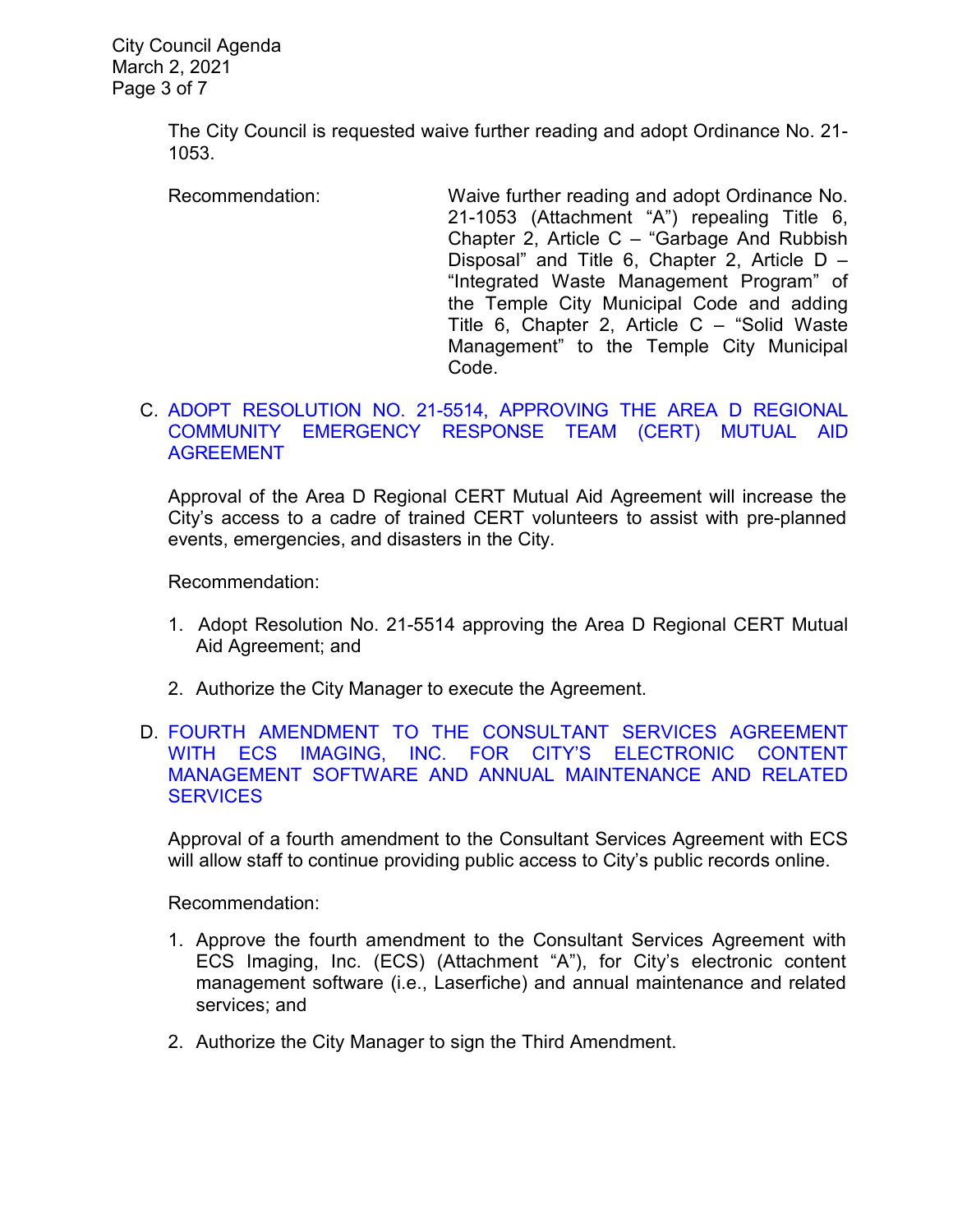The City Council is requested waive further reading and adopt Ordinance No. 21- 1053.

Recommendation: Waive further reading and adopt Ordinance No. 21-1053 (Attachment "A") repealing Title 6, Chapter 2, Article C – "Garbage And Rubbish Disposal" and Title 6, Chapter 2, Article D – "Integrated Waste Management Program" of the Temple City Municipal Code and adding Title 6, Chapter 2, Article C – "Solid Waste Management" to the Temple City Municipal Code.

#### C. [ADOPT RESOLUTION NO. 21-5514, APPROVING THE AREA D REGIONAL](https://ca-templecity.civicplus.com/DocumentCenter/View/15845/05_7C_Area-D_Staff-Report_Approval-of-Area-D-Regional-CERT-Mutual-Aid-Agreement_final-w-attachments)  [COMMUNITY EMERGENCY RESPONSE TEAM \(CERT\)](https://ca-templecity.civicplus.com/DocumentCenter/View/15845/05_7C_Area-D_Staff-Report_Approval-of-Area-D-Regional-CERT-Mutual-Aid-Agreement_final-w-attachments) MUTUAL AID [AGREEMENT](https://ca-templecity.civicplus.com/DocumentCenter/View/15845/05_7C_Area-D_Staff-Report_Approval-of-Area-D-Regional-CERT-Mutual-Aid-Agreement_final-w-attachments)

Approval of the Area D Regional CERT Mutual Aid Agreement will increase the City's access to a cadre of trained CERT volunteers to assist with pre-planned events, emergencies, and disasters in the City.

Recommendation:

- 1. Adopt Resolution No. 21-5514 approving the Area D Regional CERT Mutual Aid Agreement; and
- 2. Authorize the City Manager to execute the Agreement.
- D. [FOURTH AMENDMENT TO THE CONSULTANT SERVICES AGREEMENT](https://ca-templecity.civicplus.com/DocumentCenter/View/15846/06_7D_ECS_Attachment-A_4th-amendment-to-agreement_-annual-software-support-and-related-services_2021-05-01-to-2022-05-01_final-w-attachments)  [WITH ECS IMAGING, INC. FOR CITY'S ELECTRONIC CONTENT](https://ca-templecity.civicplus.com/DocumentCenter/View/15846/06_7D_ECS_Attachment-A_4th-amendment-to-agreement_-annual-software-support-and-related-services_2021-05-01-to-2022-05-01_final-w-attachments)  [MANAGEMENT SOFTWARE AND ANNUAL MAINTENANCE AND RELATED](https://ca-templecity.civicplus.com/DocumentCenter/View/15846/06_7D_ECS_Attachment-A_4th-amendment-to-agreement_-annual-software-support-and-related-services_2021-05-01-to-2022-05-01_final-w-attachments)  **[SERVICES](https://ca-templecity.civicplus.com/DocumentCenter/View/15846/06_7D_ECS_Attachment-A_4th-amendment-to-agreement_-annual-software-support-and-related-services_2021-05-01-to-2022-05-01_final-w-attachments)**

Approval of a fourth amendment to the Consultant Services Agreement with ECS will allow staff to continue providing public access to City's public records online.

Recommendation:

- 1. Approve the fourth amendment to the Consultant Services Agreement with ECS Imaging, Inc. (ECS) (Attachment "A"), for City's electronic content management software (i.e., Laserfiche) and annual maintenance and related services; and
- 2. Authorize the City Manager to sign the Third Amendment.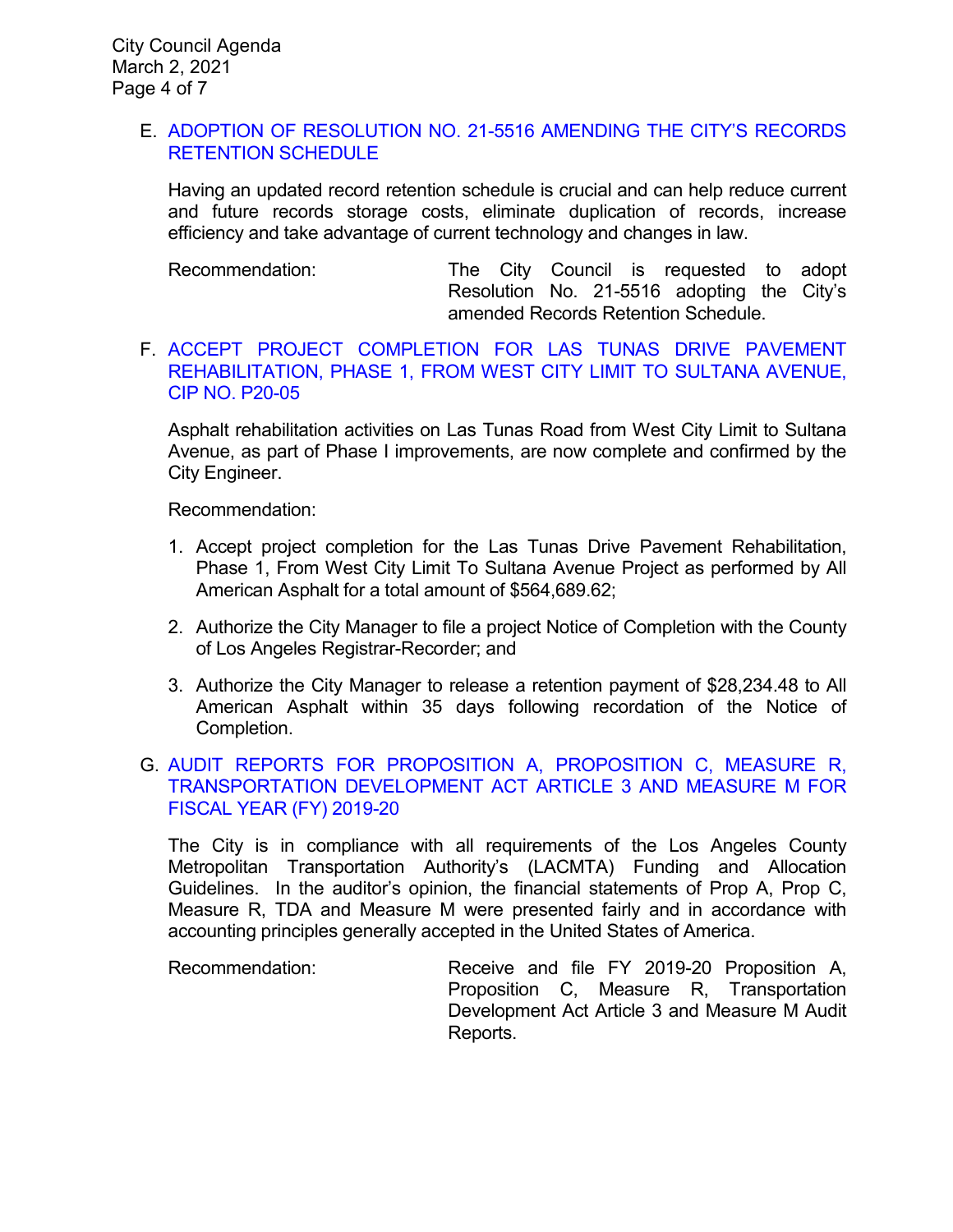### E. [ADOPTION OF RESOLUTION NO. 21-5516 AMENDING THE CITY'S RECORDS](https://ca-templecity.civicplus.com/DocumentCenter/View/15848/07_7E_Record-Retention-Schedule-2021_Staff-Report_final-w-Attachment-A)  [RETENTION SCHEDULE](https://ca-templecity.civicplus.com/DocumentCenter/View/15848/07_7E_Record-Retention-Schedule-2021_Staff-Report_final-w-Attachment-A)

Having an updated record retention schedule is crucial and can help reduce current and future records storage costs, eliminate duplication of records, increase efficiency and take advantage of current technology and changes in law.

Recommendation: The City Council is requested to adopt Resolution No. 21-5516 adopting the City's amended Records Retention Schedule.

### F. [ACCEPT PROJECT COMPLETION FOR LAS TUNAS DRIVE PAVEMENT](https://ca-templecity.civicplus.com/DocumentCenter/View/15849/08_7F_Las-Tunas-Dr-Rehab_STAFF-REPORT_Phase-1-completion-P20-05_final-w-attachment)  [REHABILITATION, PHASE 1, FROM WEST CITY LIMIT TO SULTANA AVENUE,](https://ca-templecity.civicplus.com/DocumentCenter/View/15849/08_7F_Las-Tunas-Dr-Rehab_STAFF-REPORT_Phase-1-completion-P20-05_final-w-attachment)  [CIP NO. P20-05](https://ca-templecity.civicplus.com/DocumentCenter/View/15849/08_7F_Las-Tunas-Dr-Rehab_STAFF-REPORT_Phase-1-completion-P20-05_final-w-attachment)

Asphalt rehabilitation activities on Las Tunas Road from West City Limit to Sultana Avenue, as part of Phase I improvements, are now complete and confirmed by the City Engineer.

Recommendation:

- 1. Accept project completion for the Las Tunas Drive Pavement Rehabilitation, Phase 1, From West City Limit To Sultana Avenue Project as performed by All American Asphalt for a total amount of \$564,689.62;
- 2. Authorize the City Manager to file a project Notice of Completion with the County of Los Angeles Registrar-Recorder; and
- 3. Authorize the City Manager to release a retention payment of \$28,234.48 to All American Asphalt within 35 days following recordation of the Notice of Completion.

### G. [AUDIT REPORTS FOR PROPOSITION A, PROPOSITION C, MEASURE R,](https://ca-templecity.civicplus.com/DocumentCenter/View/15839/09_7G_LACMTA_Staff-Report-AUDIT-MTA-PROP-A-C-MEASURE-R--M--TDA-3-2-21-SP-Edits_final-w-attachment)  [TRANSPORTATION DEVELOPMENT ACT ARTICLE 3 AND MEASURE M FOR](https://ca-templecity.civicplus.com/DocumentCenter/View/15839/09_7G_LACMTA_Staff-Report-AUDIT-MTA-PROP-A-C-MEASURE-R--M--TDA-3-2-21-SP-Edits_final-w-attachment)  [FISCAL YEAR \(FY\) 2019-20](https://ca-templecity.civicplus.com/DocumentCenter/View/15839/09_7G_LACMTA_Staff-Report-AUDIT-MTA-PROP-A-C-MEASURE-R--M--TDA-3-2-21-SP-Edits_final-w-attachment)

The City is in compliance with all requirements of the Los Angeles County Metropolitan Transportation Authority's (LACMTA) Funding and Allocation Guidelines. In the auditor's opinion, the financial statements of Prop A, Prop C, Measure R, TDA and Measure M were presented fairly and in accordance with accounting principles generally accepted in the United States of America.

Recommendation: Receive and file FY 2019-20 Proposition A, Proposition C, Measure R, Transportation Development Act Article 3 and Measure M Audit Reports.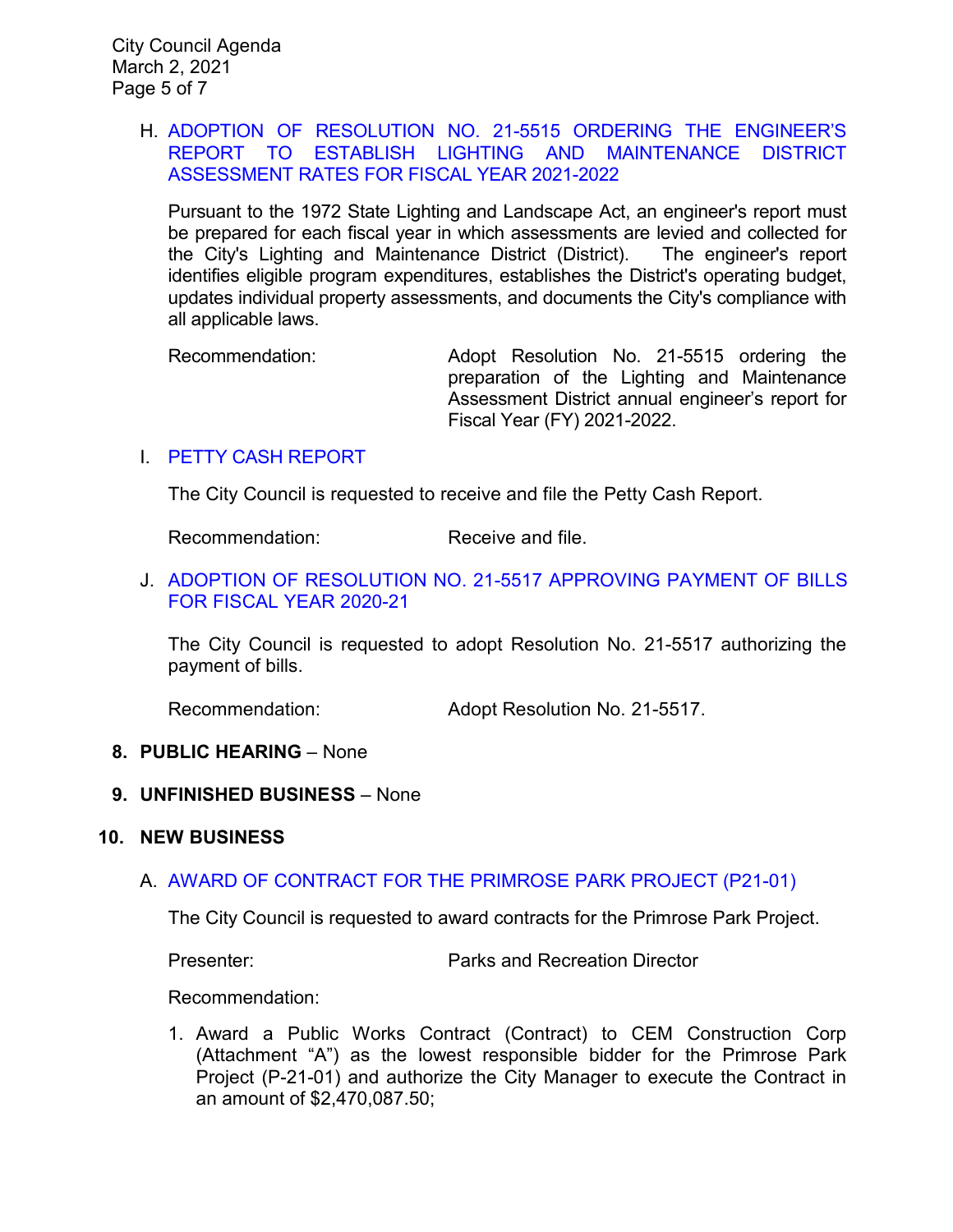### H. [ADOPTION OF RESOLUTION NO. 21-5515 ORDERING THE ENGINEER'S](https://ca-templecity.civicplus.com/DocumentCenter/View/15850/10_7H_LLD_Staff-Report-Order-of-LLD-Engineer-Report-FY2122_v2_final-2021-02-27_final-w-attachment)  [REPORT TO ESTABLISH LIGHTING AND MAINTENANCE DISTRICT](https://ca-templecity.civicplus.com/DocumentCenter/View/15850/10_7H_LLD_Staff-Report-Order-of-LLD-Engineer-Report-FY2122_v2_final-2021-02-27_final-w-attachment)  [ASSESSMENT RATES FOR FISCAL YEAR 2021-2022](https://ca-templecity.civicplus.com/DocumentCenter/View/15850/10_7H_LLD_Staff-Report-Order-of-LLD-Engineer-Report-FY2122_v2_final-2021-02-27_final-w-attachment)

Pursuant to the 1972 State Lighting and Landscape Act, an engineer's report must be prepared for each fiscal year in which assessments are levied and collected for the City's Lighting and Maintenance District (District). The engineer's report identifies eligible program expenditures, establishes the District's operating budget, updates individual property assessments, and documents the City's compliance with all applicable laws.

Recommendation: Adopt Resolution No. 21-5515 ordering the preparation of the Lighting and Maintenance Assessment District annual engineer's report for Fiscal Year (FY) 2021-2022.

### I. PETTY [CASH REPORT](https://ca-templecity.civicplus.com/DocumentCenter/View/15840/11_7I_Petty-Cash-Report-3-2-21)

The City Council is requested to receive and file the Petty Cash Report.

Recommendation: Receive and file.

### J. [ADOPTION OF RESOLUTION NO. 21-5517](https://ca-templecity.civicplus.com/DocumentCenter/View/15841/12_7J_Warrant-Register-30221_final-w-attachment) APPROVING PAYMENT OF BILLS [FOR FISCAL YEAR 2020-21](https://ca-templecity.civicplus.com/DocumentCenter/View/15841/12_7J_Warrant-Register-30221_final-w-attachment)

The City Council is requested to adopt Resolution No. 21-5517 authorizing the payment of bills.

Recommendation: Adopt Resolution No. 21-5517.

### **8. PUBLIC HEARING** – None

### **9. UNFINISHED BUSINESS** – None

#### **10. NEW BUSINESS**

### A. [AWARD OF CONTRACT FOR THE PRIMROSE PARK PROJECT](https://ca-templecity.civicplus.com/DocumentCenter/View/15863/13_10A_Primrose-Park-Project_Award-of-Contract---final-w-attachments) (P21-01)

The City Council is requested to award contracts for the Primrose Park Project.

Presenter: Parks and Recreation Director

Recommendation:

1. Award a Public Works Contract (Contract) to CEM Construction Corp (Attachment "A") as the lowest responsible bidder for the Primrose Park Project (P-21-01) and authorize the City Manager to execute the Contract in an amount of \$2,470,087.50;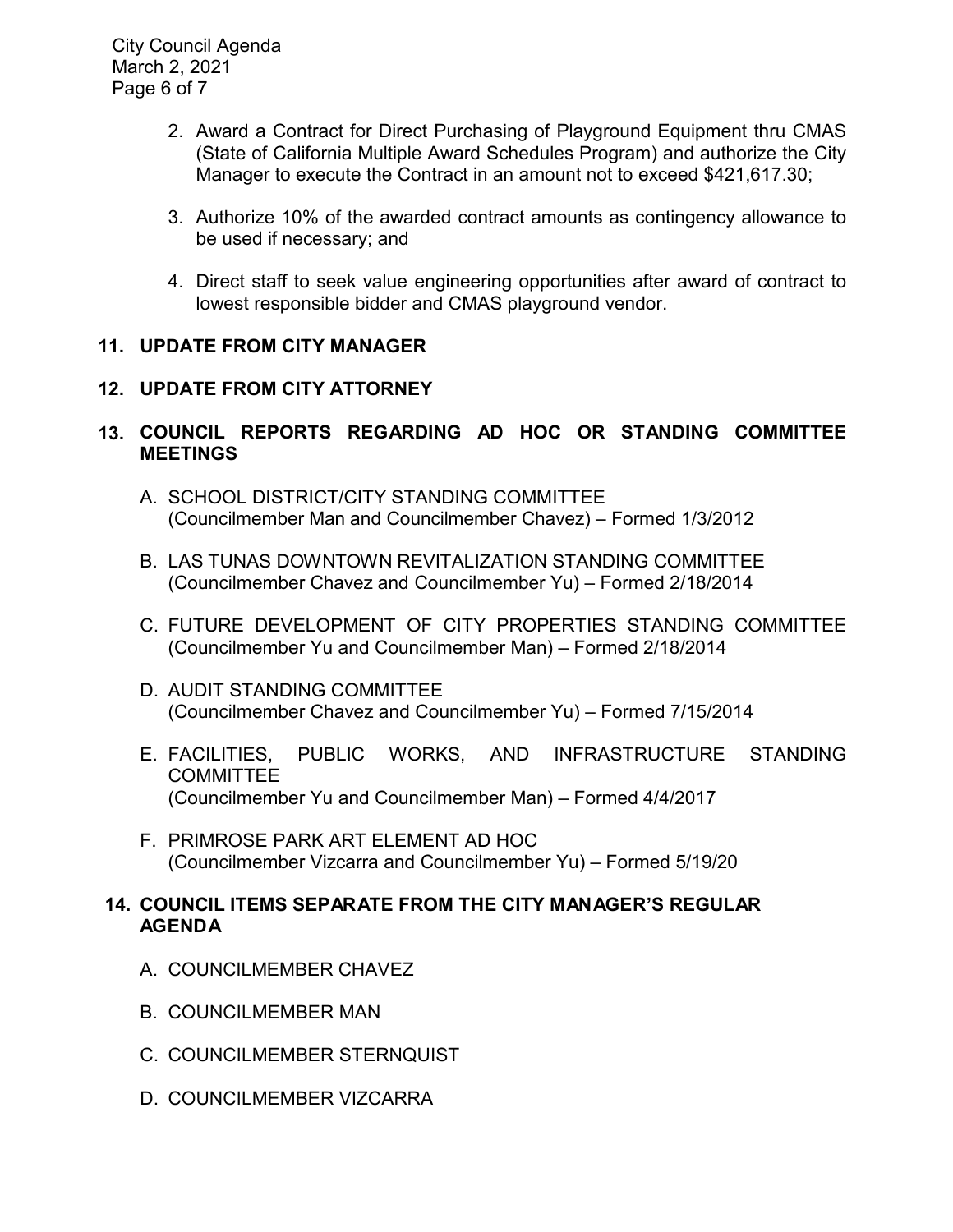City Council Agenda March 2, 2021 Page 6 of 7

- 2. Award a Contract for Direct Purchasing of Playground Equipment thru CMAS (State of California Multiple Award Schedules Program) and authorize the City Manager to execute the Contract in an amount not to exceed \$421,617.30;
- 3. Authorize 10% of the awarded contract amounts as contingency allowance to be used if necessary; and
- 4. Direct staff to seek value engineering opportunities after award of contract to lowest responsible bidder and CMAS playground vendor.

# **11. UPDATE FROM CITY MANAGER**

# **12. UPDATE FROM CITY ATTORNEY**

# **13. COUNCIL REPORTS REGARDING AD HOC OR STANDING COMMITTEE MEETINGS**

- A. SCHOOL DISTRICT/CITY STANDING COMMITTEE (Councilmember Man and Councilmember Chavez) – Formed 1/3/2012
- B. LAS TUNAS DOWNTOWN REVITALIZATION STANDING COMMITTEE (Councilmember Chavez and Councilmember Yu) – Formed 2/18/2014
- C. FUTURE DEVELOPMENT OF CITY PROPERTIES STANDING COMMITTEE (Councilmember Yu and Councilmember Man) – Formed 2/18/2014
- D. AUDIT STANDING COMMITTEE (Councilmember Chavez and Councilmember Yu) – Formed 7/15/2014
- E. FACILITIES, PUBLIC WORKS, AND INFRASTRUCTURE STANDING COMMITTEE (Councilmember Yu and Councilmember Man) – Formed 4/4/2017
- F. PRIMROSE PARK ART ELEMENT AD HOC (Councilmember Vizcarra and Councilmember Yu) – Formed 5/19/20

# **14. COUNCIL ITEMS SEPARATE FROM THE CITY MANAGER'S REGULAR AGENDA**

- A. COUNCILMEMBER CHAVEZ
- B. COUNCILMEMBER MAN
- C. COUNCILMEMBER STERNQUIST
- D. COUNCILMEMBER VIZCARRA